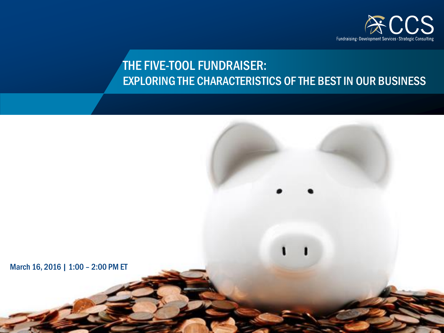

### THE FIVE-TOOL FUNDRAISER: EXPLORING THE CHARACTERISTICS OF THE BEST IN OUR BUSINESS

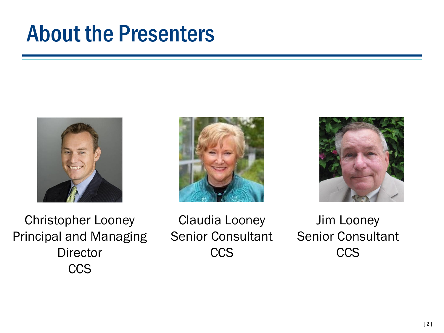# About the Presenters







Christopher Looney Principal and Managing **Director CCS** 

Claudia Looney Senior Consultant **CCS** 

Jim Looney Senior Consultant **CCS**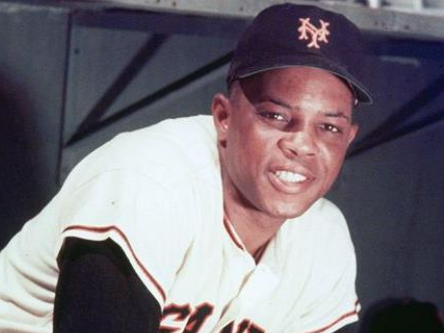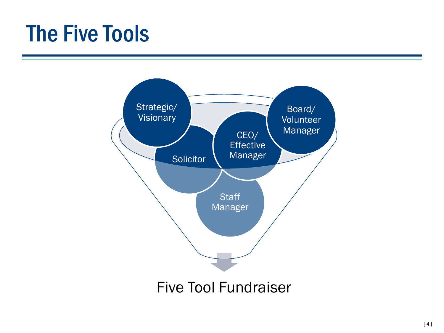# The Five Tools

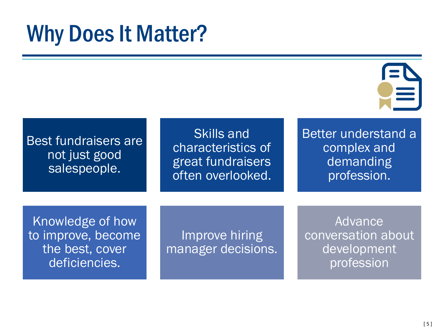# Why Does It Matter?



#### Best fundraisers are not just good salespeople.

Skills and characteristics of great fundraisers often overlooked.

Better understand a complex and demanding profession.

Knowledge of how to improve, become the best, cover deficiencies.

Improve hiring manager decisions.

Advance conversation about development profession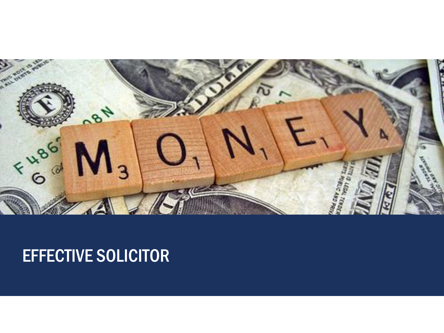

### EFFECTIVE SOLICITOR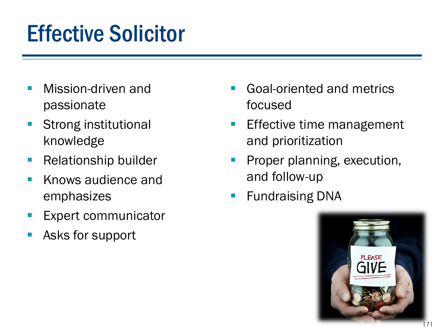# Effective Solicitor

- **Mission-driven and** passionate
- **Strong institutional** knowledge
- **Relationship builder**
- **Knows audience and** emphasizes
- **Expert communicator**
- Asks for support
- Goal-oriented and metrics focused
- Effective time management and prioritization
- Proper planning, execution, and follow-up
- Fundraising DNA

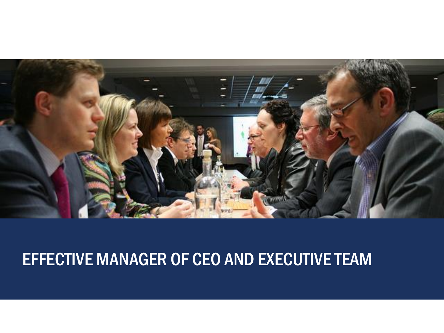

### EFFECTIVE MANAGER OF CEO AND EXECUTIVE TEAM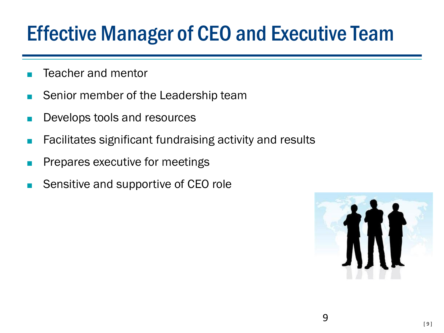## Effective Manager of CEO and Executive Team

- Teacher and mentor
- Senior member of the Leadership team
- Develops tools and resources
- Facilitates significant fundraising activity and results
- Prepares executive for meetings
- Sensitive and supportive of CEO role



9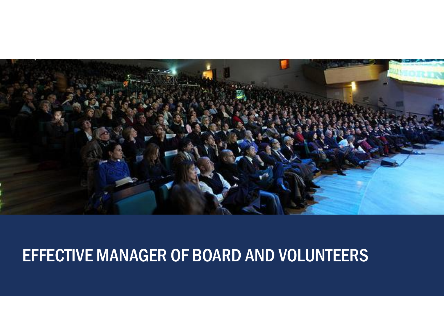

### EFFECTIVE MANAGER OF BOARD AND VOLUNTEERS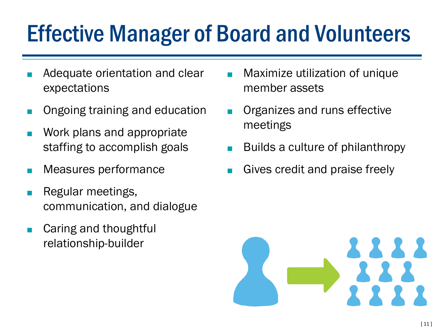# Effective Manager of Board and Volunteers

- Adequate orientation and clear expectations
- Ongoing training and education
- Work plans and appropriate staffing to accomplish goals
- Measures performance
- Regular meetings, communication, and dialogue
- Caring and thoughtful relationship-builder
- Maximize utilization of unique member assets
- Organizes and runs effective meetings
- Builds a culture of philanthropy
- Gives credit and praise freely

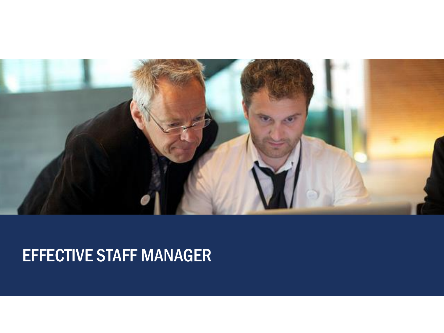

## EFFECTIVE STAFF MANAGER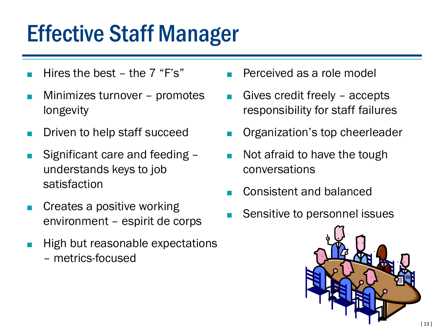# Effective Staff Manager

- Hires the best  $-$  the  $7$  "F's"
- Minimizes turnover promotes longevity
- Driven to help staff succeed
- Significant care and feeding understands keys to job satisfaction
- Creates a positive working environment – espirit de corps
- High but reasonable expectations – metrics-focused
- Perceived as a role model
- Gives credit freely accepts responsibility for staff failures
- Organization's top cheerleader
- Not afraid to have the tough conversations
- Consistent and balanced
- Sensitive to personnel issues

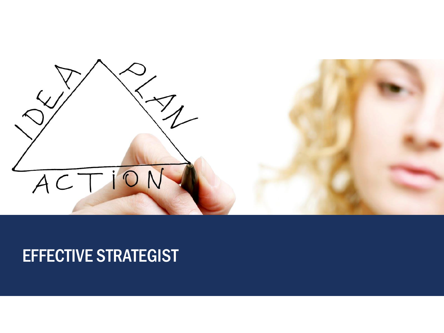

### EFFECTIVE STRATEGIST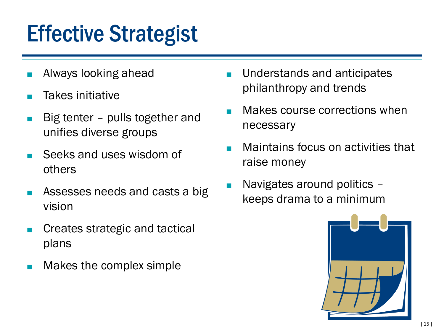# Effective Strategist

- Always looking ahead
- Takes initiative
- Big tenter pulls together and unifies diverse groups
- Seeks and uses wisdom of others
- Assesses needs and casts a big vision
- Creates strategic and tactical plans
- Makes the complex simple
- Understands and anticipates philanthropy and trends
- Makes course corrections when necessary
- Maintains focus on activities that raise money
- Navigates around politics keeps drama to a minimum

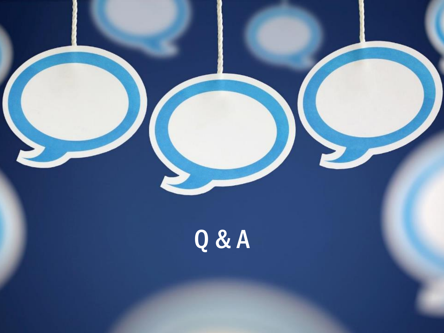